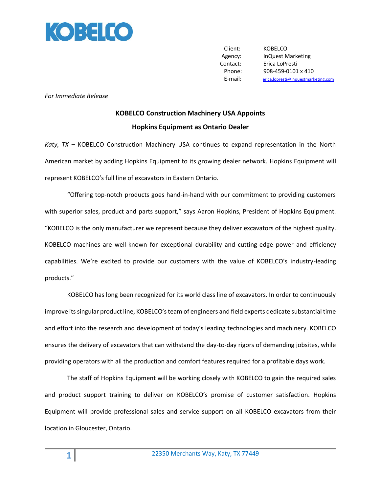

Client: KOBELCO Agency: InQuest Marketing Contact: Erica LoPresti Phone: 908-459-0101 x 410 E-mail: [erica.lopresti@inquestmarketing.com](mailto:erica.lopresti@inquestmarketing.com)

*For Immediate Release*

## **KOBELCO Construction Machinery USA Appoints Hopkins Equipment as Ontario Dealer**

*Katy, TX* **–** KOBELCO Construction Machinery USA continues to expand representation in the North American market by adding Hopkins Equipment to its growing dealer network. Hopkins Equipment will represent KOBELCO's full line of excavators in Eastern Ontario.

"Offering top-notch products goes hand-in-hand with our commitment to providing customers with superior sales, product and parts support," says Aaron Hopkins, President of Hopkins Equipment. "KOBELCO is the only manufacturer we represent because they deliver excavators of the highest quality. KOBELCO machines are well-known for exceptional durability and cutting-edge power and efficiency capabilities. We're excited to provide our customers with the value of KOBELCO's industry-leading products."

KOBELCO has long been recognized for its world class line of excavators. In order to continuously improve its singular product line, KOBELCO's team of engineers and field experts dedicate substantial time and effort into the research and development of today's leading technologies and machinery. KOBELCO ensures the delivery of excavators that can withstand the day-to-day rigors of demanding jobsites, while providing operators with all the production and comfort features required for a profitable days work.

The staff of Hopkins Equipment will be working closely with KOBELCO to gain the required sales and product support training to deliver on KOBELCO's promise of customer satisfaction. Hopkins Equipment will provide professional sales and service support on all KOBELCO excavators from their location in Gloucester, Ontario.